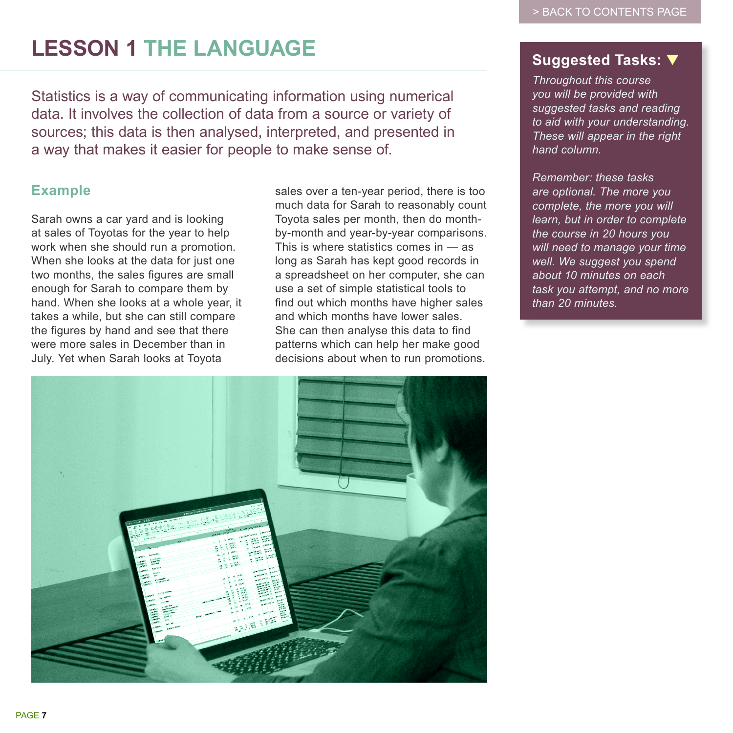# **LESSON 1 THE LANGUAGE**

Statistics is a way of communicating information using numerical data. It involves the collection of data from a source or variety of sources; this data is then analysed, interpreted, and presented in a way that makes it easier for people to make sense of.

## **Example**

Sarah owns a car yard and is looking at sales of Toyotas for the year to help work when she should run a promotion. When she looks at the data for just one two months, the sales figures are small enough for Sarah to compare them by hand. When she looks at a whole year, it takes a while, but she can still compare the figures by hand and see that there were more sales in December than in July. Yet when Sarah looks at Toyota

sales over a ten-year period, there is too much data for Sarah to reasonably count Toyota sales per month, then do monthby-month and year-by-year comparisons. This is where statistics comes in — as long as Sarah has kept good records in a spreadsheet on her computer, she can use a set of simple statistical tools to find out which months have higher sales and which months have lower sales. She can then analyse this data to find patterns which can help her make good decisions about when to run promotions.

## **Suggested Tasks:** ▼

*Throughout this course you will be provided with suggested tasks and reading to aid with your understanding. These will appear in the right hand column.*

*Remember: these tasks are optional. The more you complete, the more you will learn, but in order to complete the course in 20 hours you will need to manage your time well. We suggest you spend about 10 minutes on each task you attempt, and no more than 20 minutes.*

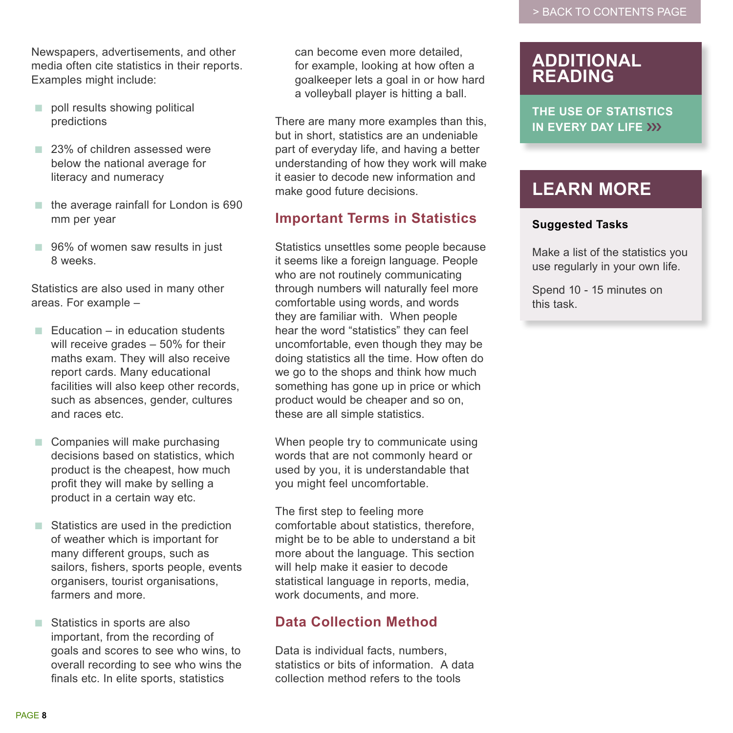Newspapers, advertisements, and other media often cite statistics in their reports. Examples might include:

- poll results showing political predictions
- 23% of children assessed were below the national average for literacy and numeracy
- the average rainfall for London is 690 mm per year
- 96% of women saw results in just 8 weeks.

Statistics are also used in many other areas. For example –

- $\blacksquare$  Education in education students will receive grades – 50% for their maths exam. They will also receive report cards. Many educational facilities will also keep other records, such as absences, gender, cultures and races etc.
- Companies will make purchasing decisions based on statistics, which product is the cheapest, how much profit they will make by selling a product in a certain way etc.
- Statistics are used in the prediction of weather which is important for many different groups, such as sailors, fishers, sports people, events organisers, tourist organisations, farmers and more.
- Statistics in sports are also important, from the recording of goals and scores to see who wins, to overall recording to see who wins the finals etc. In elite sports, statistics

can become even more detailed, for example, looking at how often a goalkeeper lets a goal in or how hard a volleyball player is hitting a ball.

There are many more examples than this, but in short, statistics are an undeniable part of everyday life, and having a better understanding of how they work will make it easier to decode new information and make good future decisions.

## **Important Terms in Statistics**

Statistics unsettles some people because it seems like a foreign language. People who are not routinely communicating through numbers will naturally feel more comfortable using words, and words they are familiar with. When people hear the word "statistics" they can feel uncomfortable, even though they may be doing statistics all the time. How often do we go to the shops and think how much something has gone up in price or which product would be cheaper and so on, these are all simple statistics.

When people try to communicate using words that are not commonly heard or used by you, it is understandable that you might feel uncomfortable.

The first step to feeling more comfortable about statistics, therefore, might be to be able to understand a bit more about the language. This section will help make it easier to decode statistical language in reports, media, work documents, and more.

## **Data Collection Method**

Data is individual facts, numbers, statistics or bits of information. A data collection method refers to the tools

## **ADDITIONAL READING**

**THE USE OF STATISTICS IN EVERY DAY LIFE** ›››

## **LEARN MORE**

#### **Suggested Tasks**

Make a list of the statistics you use regularly in your own life.

Spend 10 - 15 minutes on this task.